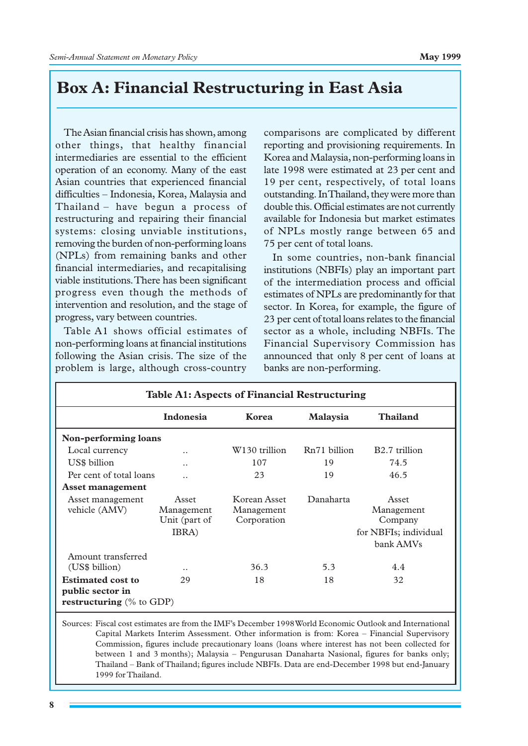## **Box A: Financial Restructuring in East Asia**

The Asian financial crisis has shown, among other things, that healthy financial intermediaries are essential to the efficient operation of an economy. Many of the east Asian countries that experienced financial difficulties␣ – Indonesia, Korea, Malaysia and Thailand – have begun a process of restructuring and repairing their financial systems: closing unviable institutions, removing the burden of non-performing loans (NPLs) from remaining banks and other financial intermediaries, and recapitalising viable institutions. There has been significant progress even though the methods of intervention and resolution, and the stage of progress, vary between countries.

Table A1 shows official estimates of non-performing loans at financial institutions following the Asian crisis. The size of the problem is large, although cross-country

comparisons are complicated by different reporting and provisioning requirements. In Korea and Malaysia, non-performing loans in late 1998 were estimated at 23 per cent and 19 per cent, respectively, of total loans outstanding. In Thailand, they were more than double this. Official estimates are not currently available for Indonesia but market estimates of NPLs mostly range between 65 and 75␣ per␣ cent of total loans.

In some countries, non-bank financial institutions (NBFIs) play an important part of the intermediation process and official estimates of NPLs are predominantly for that sector. In Korea, for example, the figure of 23␣ per␣ cent of total loans relates to the financial sector as a whole, including NBFIs. The Financial Supervisory Commission has announced that only 8 per cent of loans at banks are non-performing.

| <b>Table A1: Aspects of Financial Restructuring</b>                                |                                               |                                           |                 |                                                                      |  |  |  |
|------------------------------------------------------------------------------------|-----------------------------------------------|-------------------------------------------|-----------------|----------------------------------------------------------------------|--|--|--|
|                                                                                    | Indonesia                                     | Korea                                     | <b>Malaysia</b> | Thailand                                                             |  |  |  |
| Non-performing loans                                                               |                                               |                                           |                 |                                                                      |  |  |  |
| Local currency                                                                     | $\ddot{\phantom{0}}$                          | W130 trillion                             | Rn71 billion    | B <sub>2.7</sub> trillion                                            |  |  |  |
| US\$ billion                                                                       | $\ddot{\phantom{0}}$                          | 107                                       | 19              | 74.5                                                                 |  |  |  |
| Per cent of total loans                                                            | $\ddot{\phantom{0}}$                          | 23                                        | 19              | 46.5                                                                 |  |  |  |
| Asset management                                                                   |                                               |                                           |                 |                                                                      |  |  |  |
| Asset management<br>vehicle (AMV)                                                  | Asset<br>Management<br>Unit (part of<br>IBRA) | Korean Asset<br>Management<br>Corporation | Danaharta       | Asset<br>Management<br>Company<br>for NBFIs; individual<br>bank AMVs |  |  |  |
| Amount transferred<br>(US\$ billion)                                               | $\ddot{\phantom{0}}$                          | 36.3                                      | 5.3             | 4.4                                                                  |  |  |  |
| <b>Estimated cost to</b><br>public sector in<br><b>restructuring</b> $(\%$ to GDP) | 29                                            | 18                                        | 18              | 32                                                                   |  |  |  |

Sources: Fiscal cost estimates are from the IMF's December 1998 World Economic Outlook and International Capital Markets Interim Assessment. Other information is from: Korea – Financial Supervisory Commission, figures include precautionary loans (loans where interest has not been collected for between 1 and 3␣ months); Malaysia – Pengurusan Danaharta Nasional, figures for banks only; Thailand – Bank of Thailand; figures include NBFIs. Data are end-December 1998 but end-January 1999 for Thailand.